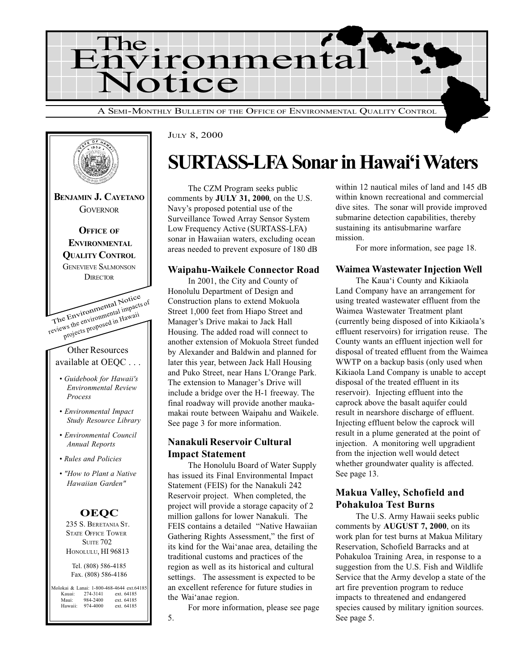



JULY 8, 2000

## **SURTASS-LFA Sonar in Hawai'i Waters**

The CZM Program seeks public comments by JULY 31, 2000, on the U.S. Navy's proposed potential use of the Surveillance Towed Array Sensor System Low Frequency Active (SURTASS-LFA) sonar in Hawaiian waters, excluding ocean areas needed to prevent exposure of 180 dB

#### Waipahu-Waikele Connector Road

In 2001, the City and County of Honolulu Department of Design and Construction plans to extend Mokuola Street 1,000 feet from Hiapo Street and Manager's Drive makai to Jack Hall Housing. The added road will connect to another extension of Mokuola Street funded by Alexander and Baldwin and planned for later this year, between Jack Hall Housing and Puko Street, near Hans L'Orange Park. The extension to Manager's Drive will include a bridge over the H-1 freeway. The final roadway will provide another maukamakai route between Waipahu and Waikele. See page 3 for more information.

### Nanakuli Reservoir Cultural Impact Statement

The Honolulu Board of Water Supply has issued its Final Environmental Impact Statement (FEIS) for the Nanakuli 242 Reservoir project. When completed, the project will provide a storage capacity of 2 million gallons for lower Nanakuli. The FEIS contains a detailed "Native Hawaiian Gathering Rights Assessment," the first of its kind for the Wai'anae area, detailing the traditional customs and practices of the region as well as its historical and cultural settings. The assessment is expected to be an excellent reference for future studies in the Wai'anae region.

For more information, please see page

within 12 nautical miles of land and 145 dB within known recreational and commercial dive sites. The sonar will provide improved submarine detection capabilities, thereby sustaining its antisubmarine warfare mission.

For more information, see page 18.

#### Waimea Wastewater Injection Well

The Kaua'i County and Kikiaola Land Company have an arrangement for using treated wastewater effluent from the Waimea Wastewater Treatment plant (currently being disposed of into Kikiaola's effluent reservoirs) for irrigation reuse. The County wants an effluent injection well for disposal of treated effluent from the Waimea WWTP on a backup basis (only used when Kikiaola Land Company is unable to accept disposal of the treated effluent in its reservoir). Injecting effluent into the caprock above the basalt aquifer could result in nearshore discharge of effluent. Injecting effluent below the caprock will result in a plume generated at the point of injection. A monitoring well upgradient from the injection well would detect whether groundwater quality is affected. See page 13.

#### Makua Valley, Schofield and Pohakuloa Test Burns

The U.S. Army Hawaii seeks public comments by AUGUST 7, 2000, on its work plan for test burns at Makua Military Reservation, Schofield Barracks and at Pohakuloa Training Area, in response to a suggestion from the U.S. Fish and Wildlife Service that the Army develop a state of the art fire prevention program to reduce impacts to threatened and endangered species caused by military ignition sources. See page 5.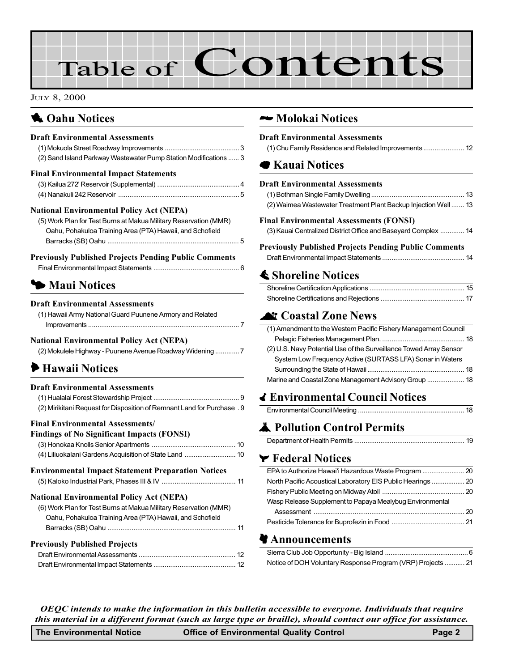# Table of Contents

#### JULY 8, 2000

## **1 Oahu Notices**

### Draft Environmental Assessments

| (2) Sand Island Parkway Wastewater Pump Station Modifications  3 |  |
|------------------------------------------------------------------|--|
| <b>Final Environmental Impact Statements</b>                     |  |
| $(3)$ Koilug 272' Pesenseir (Supplemental)                       |  |

#### National Environmental Policy Act (NEPA)

| (5) Work Plan for Test Burns at Makua Military Reservation (MMR) |
|------------------------------------------------------------------|
| Oahu, Pohakuloa Training Area (PTA) Hawaii, and Schofield        |
|                                                                  |

#### Previously Published Projects Pending Public Comments

## **3 Maui Notices**

#### Draft Environmental Assessments

| (1) Hawaii Army National Guard Puunene Armory and Related |  |
|-----------------------------------------------------------|--|
|                                                           |  |

#### National Environmental Policy Act (NEPA)

| (2) Mokulele Highway - Puunene Avenue Roadway Widening  7 |  |
|-----------------------------------------------------------|--|
|-----------------------------------------------------------|--|

## 6 Hawaii Notices

| <b>Draft Environmental Assessments</b><br>(2) Mirikitani Request for Disposition of Remnant Land for Purchase . 9                                                                |  |
|----------------------------------------------------------------------------------------------------------------------------------------------------------------------------------|--|
| <b>Final Environmental Assessments/</b>                                                                                                                                          |  |
| <b>Findings of No Significant Impacts (FONSI)</b>                                                                                                                                |  |
|                                                                                                                                                                                  |  |
|                                                                                                                                                                                  |  |
| <b>Environmental Impact Statement Preparation Notices</b>                                                                                                                        |  |
| <b>National Environmental Policy Act (NEPA)</b><br>(6) Work Plan for Test Burns at Makua Military Reservation (MMR)<br>Oahu, Pohakuloa Training Area (PTA) Hawaii, and Schofield |  |
|                                                                                                                                                                                  |  |
| <b>Previously Published Projects</b>                                                                                                                                             |  |
|                                                                                                                                                                                  |  |
|                                                                                                                                                                                  |  |

### ~ Molokai Notices

#### Draft Environmental Assessments [\(1\) Chu Family Residence and Related Improvements...................... 12](#page-11-0)

## 7 Kauai Notices

#### Draft Environmental Assessments

| (2) Waimea Wastewater Treatment Plant Backup Injection Well 13 |  |
|----------------------------------------------------------------|--|
|                                                                |  |

#### Final Environmental Assessments (FONSI) [\(3\) Kauai Centralized District Office and Baseyard Complex](#page-13-0) ............. 14

### Previously Published Projects Pending Public Comments

|--|--|

## **≰ Shoreline Notices**

## **At Coastal Zone News**

| (1) Amendment to the Western Pacific Fishery Management Council    |  |
|--------------------------------------------------------------------|--|
|                                                                    |  |
| (2) U.S. Navy Potential Use of the Surveillance Towed Array Sensor |  |
| System Low Frequency Active (SURTASS LFA) Sonar in Waters          |  |
|                                                                    |  |
|                                                                    |  |

## q Environmental Council Notices

|--|--|--|

## **A** Pollution Control Permits

|--|--|

### v Federal Notices

| Wasp Release Supplement to Papaya Mealybug Environmental |  |
|----------------------------------------------------------|--|
|                                                          |  |
|                                                          |  |
|                                                          |  |

### **Announcements**

| Notice of DOH Voluntary Response Program (VRP) Projects  21 |  |
|-------------------------------------------------------------|--|

OEQC intends to make the information in this bulletin accessible to everyone. Individuals that require this material in a different format (such as large type or braille), should contact our office for assistance.

| <b>The Environmental Notice</b><br><b>Office of Environmental Quality Control</b> | Page 2 |
|-----------------------------------------------------------------------------------|--------|
|-----------------------------------------------------------------------------------|--------|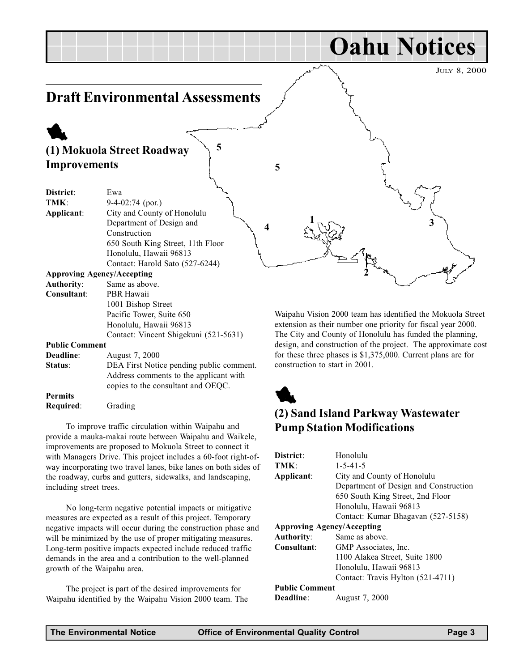<span id="page-2-0"></span>

#### Contact: Vincent Shigekuni (521-5631)

#### Public Comment

| Deadline:      | August 7, 2000                           |
|----------------|------------------------------------------|
| Status:        | DEA First Notice pending public comment. |
|                | Address comments to the applicant with   |
|                | copies to the consultant and OEQC.       |
| <b>Permits</b> |                                          |

Required: Grading

To improve traffic circulation within Waipahu and provide a mauka-makai route between Waipahu and Waikele, improvements are proposed to Mokuola Street to connect it with Managers Drive. This project includes a 60-foot right-ofway incorporating two travel lanes, bike lanes on both sides of the roadway, curbs and gutters, sidewalks, and landscaping, including street trees.

No long-term negative potential impacts or mitigative measures are expected as a result of this project. Temporary negative impacts will occur during the construction phase and will be minimized by the use of proper mitigating measures. Long-term positive impacts expected include reduced traffic demands in the area and a contribution to the well-planned growth of the Waipahu area.

The project is part of the desired improvements for Waipahu identified by the Waipahu Vision 2000 team. The The City and County of Honolulu has funded the planning, design, and construction of the project. The approximate cost for these three phases is \$1,375,000. Current plans are for construction to start in 2001.



## (2) Sand Island Parkway Wastewater Pump Station Modifications

| District:                         | Honolulu                              |
|-----------------------------------|---------------------------------------|
| TMK:                              | $1 - 5 - 41 - 5$                      |
| Applicant:                        | City and County of Honolulu           |
|                                   | Department of Design and Construction |
|                                   | 650 South King Street, 2nd Floor      |
|                                   | Honolulu, Hawaii 96813                |
|                                   | Contact: Kumar Bhagavan (527-5158)    |
| <b>Approving Agency/Accepting</b> |                                       |
| <b>Authority:</b>                 | Same as above.                        |
| Consultant:                       | GMP Associates, Inc.                  |
|                                   | 1100 Alakea Street, Suite 1800        |
|                                   | Honolulu, Hawaii 96813                |
|                                   | Contact: Travis Hylton (521-4711)     |
| <b>Public Comment</b>             |                                       |
| <b>Deadline:</b>                  | August 7, 2000                        |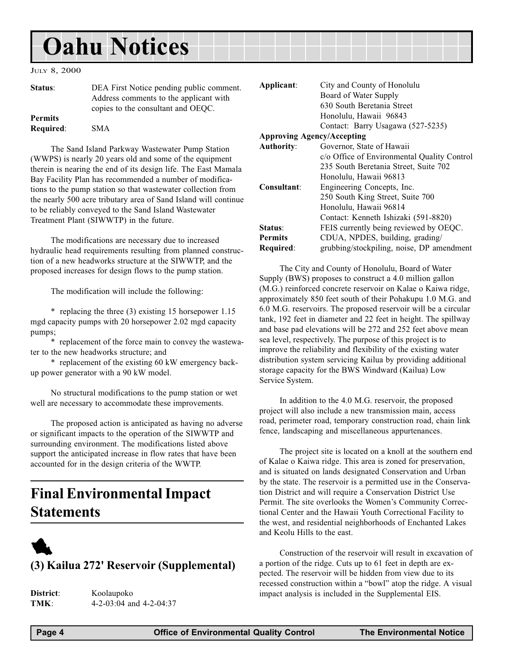## <span id="page-3-0"></span>Oahu Notices

#### JULY 8, 2000

| Status:                            | DEA First Notice pending public comment.<br>Address comments to the applicant with<br>copies to the consultant and OEOC. |
|------------------------------------|--------------------------------------------------------------------------------------------------------------------------|
| <b>Permits</b><br><b>Required:</b> | <b>SMA</b>                                                                                                               |

The Sand Island Parkway Wastewater Pump Station (WWPS) is nearly 20 years old and some of the equipment therein is nearing the end of its design life. The East Mamala Bay Facility Plan has recommended a number of modifications to the pump station so that wastewater collection from the nearly 500 acre tributary area of Sand Island will continue to be reliably conveyed to the Sand Island Wastewater Treatment Plant (SIWWTP) in the future.

The modifications are necessary due to increased hydraulic head requirements resulting from planned construction of a new headworks structure at the SIWWTP, and the proposed increases for design flows to the pump station.

The modification will include the following:

\* replacing the three (3) existing 15 horsepower 1.15 mgd capacity pumps with 20 horsepower 2.02 mgd capacity pumps;

\* replacement of the force main to convey the wastewater to the new headworks structure; and

\* replacement of the existing 60 kW emergency backup power generator with a 90 kW model.

No structural modifications to the pump station or wet well are necessary to accommodate these improvements.

The proposed action is anticipated as having no adverse or significant impacts to the operation of the SIWWTP and surrounding environment. The modifications listed above support the anticipated increase in flow rates that have been accounted for in the design criteria of the WWTP.

## Final Environmental Impact Statements

## 1 (3) Kailua 272' Reservoir (Supplemental)

District: Koolaupoko TMK: 4-2-03:04 and 4-2-04:37

| Applicant:        | City and County of Honolulu                 |
|-------------------|---------------------------------------------|
|                   | Board of Water Supply                       |
|                   | 630 South Beretania Street                  |
|                   | Honolulu, Hawaii 96843                      |
|                   | Contact: Barry Usagawa (527-5235)           |
|                   | <b>Approving Agency/Accepting</b>           |
| <b>Authority:</b> | Governor, State of Hawaii                   |
|                   | c/o Office of Environmental Quality Control |
|                   | 235 South Beretania Street, Suite 702       |
|                   | Honolulu, Hawaii 96813                      |
| Consultant:       | Engineering Concepts, Inc.                  |
|                   | 250 South King Street, Suite 700            |
|                   | Honolulu, Hawaii 96814                      |
|                   | Contact: Kenneth Ishizaki (591-8820)        |
| Status:           | FEIS currently being reviewed by OEQC.      |
| <b>Permits</b>    | CDUA, NPDES, building, grading/             |
| Required:         | grubbing/stockpiling, noise, DP amendment   |

The City and County of Honolulu, Board of Water Supply (BWS) proposes to construct a 4.0 million gallon (M.G.) reinforced concrete reservoir on Kalae o Kaiwa ridge, approximately 850 feet south of their Pohakupu 1.0 M.G. and 6.0 M.G. reservoirs. The proposed reservoir will be a circular tank, 192 feet in diameter and 22 feet in height. The spillway and base pad elevations will be 272 and 252 feet above mean sea level, respectively. The purpose of this project is to improve the reliability and flexibility of the existing water distribution system servicing Kailua by providing additional storage capacity for the BWS Windward (Kailua) Low Service System.

In addition to the 4.0 M.G. reservoir, the proposed project will also include a new transmission main, access road, perimeter road, temporary construction road, chain link fence, landscaping and miscellaneous appurtenances.

The project site is located on a knoll at the southern end of Kalae o Kaiwa ridge. This area is zoned for preservation, and is situated on lands designated Conservation and Urban by the state. The reservoir is a permitted use in the Conservation District and will require a Conservation District Use Permit. The site overlooks the Women's Community Correctional Center and the Hawaii Youth Correctional Facility to the west, and residential neighborhoods of Enchanted Lakes and Keolu Hills to the east.

Construction of the reservoir will result in excavation of a portion of the ridge. Cuts up to 61 feet in depth are expected. The reservoir will be hidden from view due to its recessed construction within a "bowl" atop the ridge. A visual impact analysis is included in the Supplemental EIS.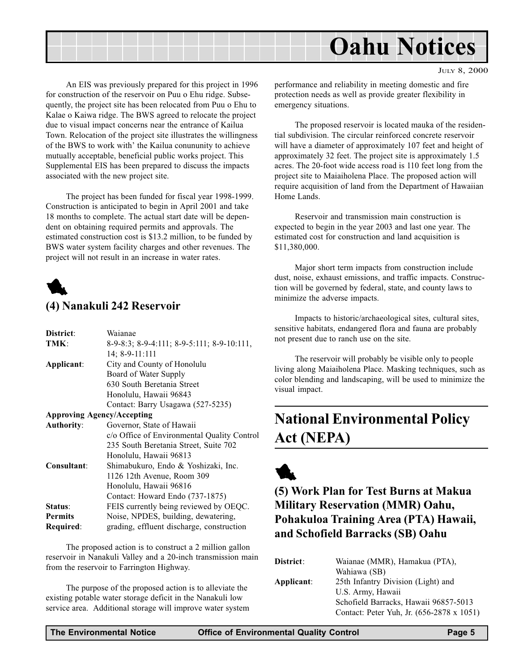<span id="page-4-0"></span>

An EIS was previously prepared for this project in 1996 for construction of the reservoir on Puu o Ehu ridge. Subsequently, the project site has been relocated from Puu o Ehu to Kalae o Kaiwa ridge. The BWS agreed to relocate the project due to visual impact concerns near the entrance of Kailua Town. Relocation of the project site illustrates the willingness of the BWS to work with' the Kailua conununity to achieve mutually acceptable, beneficial public works project. This Supplemental EIS has been prepared to discuss the impacts associated with the new project site.

The project has been funded for fiscal year 1998-1999. Construction is anticipated to begin in April 2001 and take 18 months to complete. The actual start date will be dependent on obtaining required permits and approvals. The estimated construction cost is \$13.2 million, to be funded by BWS water system facility charges and other revenues. The project will not result in an increase in water rates.



### (4) Nanakuli 242 Reservoir

| Waianae                                     |
|---------------------------------------------|
| 8-9-8:3; 8-9-4:111; 8-9-5:111; 8-9-10:111,  |
| 14; 8-9-11:111                              |
| City and County of Honolulu                 |
| Board of Water Supply                       |
| 630 South Beretania Street                  |
| Honolulu, Hawaii 96843                      |
| Contact: Barry Usagawa (527-5235)           |
| <b>Approving Agency/Accepting</b>           |
| Governor, State of Hawaii                   |
| c/o Office of Environmental Quality Control |
| 235 South Beretania Street, Suite 702       |
| Honolulu, Hawaii 96813                      |
| Shimabukuro, Endo & Yoshizaki, Inc.         |
| 1126 12th Avenue, Room 309                  |
| Honolulu, Hawaii 96816                      |
| Contact: Howard Endo (737-1875)             |
| FEIS currently being reviewed by OEQC.      |
| Noise, NPDES, building, dewatering,         |
| grading, effluent discharge, construction   |
|                                             |

The proposed action is to construct a 2 million gallon reservoir in Nanakuli Valley and a 20-inch transmission main from the reservoir to Farrington Highway.

The purpose of the proposed action is to alleviate the existing potable water storage deficit in the Nanakuli low service area. Additional storage will improve water system JULY 8, 2000

performance and reliability in meeting domestic and fire protection needs as well as provide greater flexibility in emergency situations.

The proposed reservoir is located mauka of the residential subdivision. The circular reinforced concrete reservoir will have a diameter of approximately 107 feet and height of approximately 32 feet. The project site is approximately 1.5 acres. The 20-foot wide access road is 110 feet long from the project site to Maiaiholena Place. The proposed action will require acquisition of land from the Department of Hawaiian Home Lands.

Reservoir and transmission main construction is expected to begin in the year 2003 and last one year. The estimated cost for construction and land acquisition is \$11,380,000.

Major short term impacts from construction include dust, noise, exhaust emissions, and traffic impacts. Construction will be governed by federal, state, and county laws to minimize the adverse impacts.

Impacts to historic/archaeological sites, cultural sites, sensitive habitats, endangered flora and fauna are probably not present due to ranch use on the site.

The reservoir will probably be visible only to people living along Maiaiholena Place. Masking techniques, such as color blending and landscaping, will be used to minimize the visual impact.

## National Environmental Policy Act (NEPA)



(5) Work Plan for Test Burns at Makua Military Reservation (MMR) Oahu, Pohakuloa Training Area (PTA) Hawaii, and Schofield Barracks (SB) Oahu

| District:  | Waianae (MMR), Hamakua (PTA),             |
|------------|-------------------------------------------|
|            | Wahiawa (SB)                              |
| Applicant: | 25th Infantry Division (Light) and        |
|            | U.S. Army, Hawaii                         |
|            | Schofield Barracks, Hawaii 96857-5013     |
|            | Contact: Peter Yuh, Jr. (656-2878 x 1051) |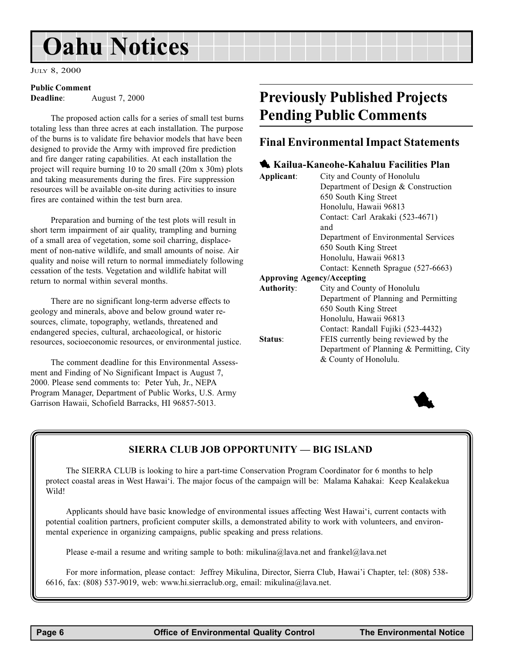## <span id="page-5-0"></span>Oahu Notices

JULY 8, 2000

#### Public Comment

Deadline: August 7, 2000

The proposed action calls for a series of small test burns totaling less than three acres at each installation. The purpose of the burns is to validate fire behavior models that have been designed to provide the Army with improved fire prediction and fire danger rating capabilities. At each installation the project will require burning 10 to 20 small (20m x 30m) plots and taking measurements during the fires. Fire suppression resources will be available on-site during activities to insure fires are contained within the test burn area.

Preparation and burning of the test plots will result in short term impairment of air quality, trampling and burning of a small area of vegetation, some soil charring, displacement of non-native wildlife, and small amounts of noise. Air quality and noise will return to normal immediately following cessation of the tests. Vegetation and wildlife habitat will return to normal within several months.

There are no significant long-term adverse effects to geology and minerals, above and below ground water resources, climate, topography, wetlands, threatened and endangered species, cultural, archaeological, or historic resources, socioeconomic resources, or environmental justice.

The comment deadline for this Environmental Assessment and Finding of No Significant Impact is August 7, 2000. Please send comments to: Peter Yuh, Jr., NEPA Program Manager, Department of Public Works, U.S. Army Garrison Hawaii, Schofield Barracks, HI 96857-5013.

## Previously Published Projects Pending Public Comments

### Final Environmental Impact Statements

|                   | Kailua-Kaneohe-Kahaluu Facilities Plan    |
|-------------------|-------------------------------------------|
| Applicant:        | City and County of Honolulu               |
|                   | Department of Design & Construction       |
|                   | 650 South King Street                     |
|                   | Honolulu, Hawaii 96813                    |
|                   | Contact: Carl Arakaki (523-4671)          |
|                   | and                                       |
|                   | Department of Environmental Services      |
|                   | 650 South King Street                     |
|                   | Honolulu, Hawaii 96813                    |
|                   | Contact: Kenneth Sprague (527-6663)       |
|                   | <b>Approving Agency/Accepting</b>         |
| <b>Authority:</b> | City and County of Honolulu               |
|                   | Department of Planning and Permitting     |
|                   | 650 South King Street                     |
|                   | Honolulu, Hawaii 96813                    |
|                   | Contact: Randall Fujiki (523-4432)        |
| Status:           | FEIS currently being reviewed by the      |
|                   | Department of Planning & Permitting, City |
|                   | & County of Honolulu.                     |
|                   |                                           |



### SIERRA CLUB JOB OPPORTUNITY - BIG ISLAND

The SIERRA CLUB is looking to hire a part-time Conservation Program Coordinator for 6 months to help protect coastal areas in West Hawai'i. The major focus of the campaign will be: Malama Kahakai: Keep Kealakekua Wild!

Applicants should have basic knowledge of environmental issues affecting West Hawai<sup>i</sup>i, current contacts with potential coalition partners, proficient computer skills, a demonstrated ability to work with volunteers, and environmental experience in organizing campaigns, public speaking and press relations.

Please e-mail a resume and writing sample to both: mikulina@lava.net and frankel@lava.net

For more information, please contact: Jeffrey Mikulina, Director, Sierra Club, Hawai'i Chapter, tel: (808) 538-6616, fax: (808) 537-9019, web: www.hi.sierraclub.org, email: mikulina@lava.net.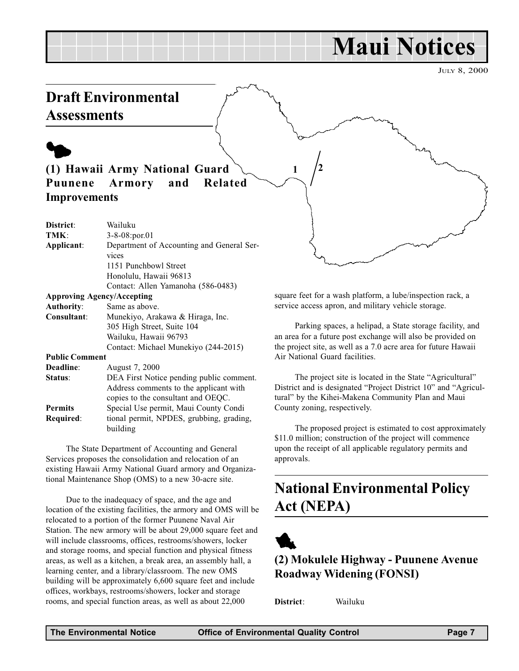## Maui Notices

JULY 8, 2000

## <span id="page-6-0"></span>Draft Environmental **Assessments**

 $\blacklozenge$ 

## (1) Hawaii Army National Guard Puunene Armory and Related Improvements

| District:             | Wailuku                                            |
|-----------------------|----------------------------------------------------|
| TMK:                  | $3 - 8 - 08$ : por. 01                             |
| Applicant:            | Department of Accounting and General Ser-<br>vices |
|                       | 1151 Punchbowl Street                              |
|                       | Honolulu, Hawaii 96813                             |
|                       | Contact: Allen Yamanoha (586-0483)                 |
|                       | <b>Approving Agency/Accepting</b>                  |
| <b>Authority:</b>     | Same as above.                                     |
| Consultant:           | Munekiyo, Arakawa & Hiraga, Inc.                   |
|                       | 305 High Street, Suite 104                         |
|                       | Wailuku, Hawaii 96793                              |
|                       | Contact: Michael Munekiyo (244-2015)               |
| <b>Public Comment</b> |                                                    |
| $\mathbf{D}$ iii      |                                                    |

| Deadline:        | August 7, 2000                                       |
|------------------|------------------------------------------------------|
| Status:          | DEA First Notice pending public comment.             |
|                  | Address comments to the applicant with               |
|                  | copies to the consultant and OEQC.                   |
| <b>Permits</b>   | Special Use permit, Maui County Condi                |
| <b>Required:</b> | tional permit, NPDES, grubbing, grading,<br>building |
|                  |                                                      |

The State Department of Accounting and General Services proposes the consolidation and relocation of an existing Hawaii Army National Guard armory and Organizational Maintenance Shop (OMS) to a new 30-acre site.

Due to the inadequacy of space, and the age and location of the existing facilities, the armory and OMS will be relocated to a portion of the former Puunene Naval Air Station. The new armory will be about 29,000 square feet and will include classrooms, offices, restrooms/showers, locker and storage rooms, and special function and physical fitness areas, as well as a kitchen, a break area, an assembly hall, a learning center, and a library/classroom. The new OMS building will be approximately 6,600 square feet and include offices, workbays, restrooms/showers, locker and storage rooms, and special function areas, as well as about 22,000

square feet for a wash platform, a lube/inspection rack, a service access apron, and military vehicle storage.

Parking spaces, a helipad, a State storage facility, and an area for a future post exchange will also be provided on the project site, as well as a 7.0 acre area for future Hawaii Air National Guard facilities.

The project site is located in the State "Agricultural" District and is designated "Project District 10" and "Agricultural" by the Kihei-Makena Community Plan and Maui County zoning, respectively.

The proposed project is estimated to cost approximately \$11.0 million; construction of the project will commence upon the receipt of all applicable regulatory permits and approvals.

## National Environmental Policy Act (NEPA)



## (2) Mokulele Highway - Puunene Avenue Roadway Widening (FONSI)

District: Wailuku

1  $/2$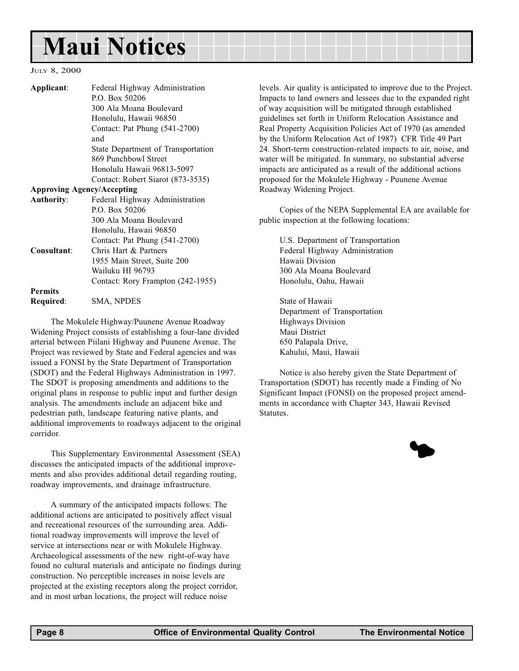## Maui Notices

#### JULY 8, 2000

| Applicant:                        | Federal Highway Administration<br>P.O. Box 50206<br>300 Ala Moana Boulevard<br>Honolulu, Hawaii 96850<br>Contact: Pat Phung (541-2700)<br>and | levels. Air quality is anticipated to improve d<br>Impacts to land owners and lessees due to the<br>of way acquisition will be mitigated through<br>guidelines set forth in Uniform Relocation A<br>Real Property Acquisition Policies Act of 197<br>by the Uniform Relocation Act of 1987) CFI |
|-----------------------------------|-----------------------------------------------------------------------------------------------------------------------------------------------|-------------------------------------------------------------------------------------------------------------------------------------------------------------------------------------------------------------------------------------------------------------------------------------------------|
|                                   | State Department of Transportation                                                                                                            | 24. Short-term construction-related impacts t                                                                                                                                                                                                                                                   |
|                                   | 869 Punchbowl Street<br>Honolulu Hawaii 96813-5097<br>Contact: Robert Siarot (873-3535)                                                       | water will be mitigated. In summary, no subs<br>impacts are anticipated as a result of the addi-<br>proposed for the Mokulele Highway - Puuner                                                                                                                                                  |
| <b>Approving Agency/Accepting</b> |                                                                                                                                               | Roadway Widening Project.                                                                                                                                                                                                                                                                       |
| <b>Authority:</b>                 | Federal Highway Administration<br>P.O. Box 50206<br>300 Ala Moana Boulevard<br>Honolulu, Hawaii 96850                                         | Copies of the NEPA Supplemental EA<br>public inspection at the following locations:                                                                                                                                                                                                             |
|                                   | Contact: Pat Phung (541-2700)                                                                                                                 | U.S. Department of Transportation                                                                                                                                                                                                                                                               |
| Consultant:                       | Chris Hart & Partners                                                                                                                         | Federal Highway Administration                                                                                                                                                                                                                                                                  |
|                                   | 1955 Main Street, Suite 200                                                                                                                   | Hawaii Division                                                                                                                                                                                                                                                                                 |
|                                   | Wailuku HI 96793                                                                                                                              | 300 Ala Moana Boulevard                                                                                                                                                                                                                                                                         |
|                                   | Contact: Rory Frampton (242-1955)                                                                                                             | Honolulu, Oahu, Hawaii                                                                                                                                                                                                                                                                          |
| <b>Permits</b>                    |                                                                                                                                               |                                                                                                                                                                                                                                                                                                 |
| Required:                         | SMA, NPDES                                                                                                                                    | State of Hawaii                                                                                                                                                                                                                                                                                 |
|                                   |                                                                                                                                               | Department of Transportation                                                                                                                                                                                                                                                                    |

The Mokulele Highway/Puunene Avenue Roadway Widening Project consists of establishing a four-lane divided arterial between Piilani Highway and Puunene Avenue. The Project was reviewed by State and Federal agencies and was issued a FONSI by the State Department of Transportation (SDOT) and the Federal Highways Administration in 1997. The SDOT is proposing amendments and additions to the original plans in response to public input and further design analysis. The amendments include an adjacent bike and pedestrian path, landscape featuring native plants, and additional improvements to roadways adjacent to the original corridor.

This Supplementary Environmental Assessment (SEA) discusses the anticipated impacts of the additional improvements and also provides additional detail regarding routing, roadway improvements, and drainage infrastructure.

A summary of the anticipated impacts follows: The additional actions are anticipated to positively affect visual and recreational resources of the surrounding area. Additional roadway improvements will improve the level of service at intersections near or with Mokulele Highway. Archaeological assessments of the new right-of-way have found no cultural materials and anticipate no findings during construction. No perceptible increases in noise levels are projected at the existing receptors along the project corridor, and in most urban locations, the project will reduce noise

lue to the Project. e expanded right established ssistance and 70 (as amended R Title 49 Part to air, noise, and stantial adverse itional actions ne Avenue

are available for

Department of Transportation Highways Division Maui District 650 Palapala Drive, Kahului, Maui, Hawaii

Notice is also hereby given the State Department of Transportation (SDOT) has recently made a Finding of No Significant Impact (FONSI) on the proposed project amendments in accordance with Chapter 343, Hawaii Revised Statutes.

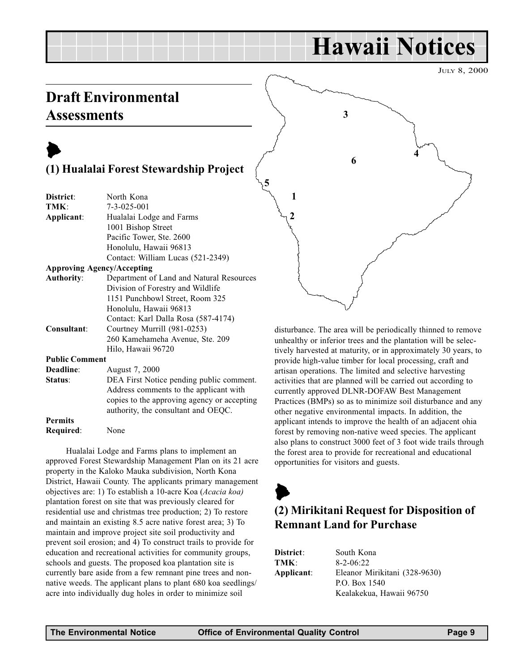## Hawaii Notices

JULY 8, 2000

## <span id="page-8-0"></span>Draft Environmental **Assessments**

## $\blacktriangleright$ (1) Hualalai Forest Stewardship Project

| District:                         | North Kona                                  |
|-----------------------------------|---------------------------------------------|
| TMK:                              | $7 - 3 - 025 - 001$                         |
| Applicant:                        | Hualalai Lodge and Farms                    |
|                                   | 1001 Bishop Street                          |
|                                   | Pacific Tower, Ste. 2600                    |
|                                   | Honolulu, Hawaii 96813                      |
|                                   | Contact: William Lucas (521-2349)           |
| <b>Approving Agency/Accepting</b> |                                             |
| <b>Authority:</b>                 | Department of Land and Natural Resources    |
|                                   | Division of Forestry and Wildlife           |
|                                   | 1151 Punchbowl Street, Room 325             |
|                                   | Honolulu, Hawaii 96813                      |
|                                   | Contact: Karl Dalla Rosa (587-4174)         |
| Consultant:                       | Courtney Murrill (981-0253)                 |
|                                   | 260 Kamehameha Avenue, Ste. 209             |
|                                   | Hilo, Hawaii 96720                          |
| <b>Public Comment</b>             |                                             |
| Deadline:                         | August 7, 2000                              |
| Status:                           | DEA First Notice pending public comment.    |
|                                   | Address comments to the applicant with      |
|                                   | copies to the approving agency or accepting |
|                                   | authority, the consultant and OEQC.         |
|                                   |                                             |

Hualalai Lodge and Farms plans to implement an approved Forest Stewardship Management Plan on its 21 acre property in the Kaloko Mauka subdivision, North Kona District, Hawaii County. The applicants primary management objectives are: 1) To establish a 10-acre Koa (Acacia koa) plantation forest on site that was previously cleared for residential use and christmas tree production; 2) To restore and maintain an existing 8.5 acre native forest area; 3) To maintain and improve project site soil productivity and prevent soil erosion; and 4) To construct trails to provide for education and recreational activities for community groups, schools and guests. The proposed koa plantation site is currently bare aside from a few remnant pine trees and nonnative weeds. The applicant plans to plant 680 koa seedlings/ acre into individually dug holes in order to minimize soil



disturbance. The area will be periodically thinned to remove unhealthy or inferior trees and the plantation will be selectively harvested at maturity, or in approximately 30 years, to provide high-value timber for local processing, craft and artisan operations. The limited and selective harvesting activities that are planned will be carried out according to currently approved DLNR-DOFAW Best Management Practices (BMPs) so as to minimize soil disturbance and any other negative environmental impacts. In addition, the applicant intends to improve the health of an adjacent ohia forest by removing non-native weed species. The applicant also plans to construct 3000 feet of 3 foot wide trails through the forest area to provide for recreational and educational opportunities for visitors and guests.

## $\blacktriangleright$ (2) Mirikitani Request for Disposition of Remnant Land for Purchase

| District:  | South Kona                    |
|------------|-------------------------------|
| TMK:       | $8 - 2 - 06:22$               |
| Applicant: | Eleanor Mirikitani (328-9630) |
|            | P.O. Box 1540                 |
|            | Kealakekua, Hawaii 96750      |

Permits

Required: None

5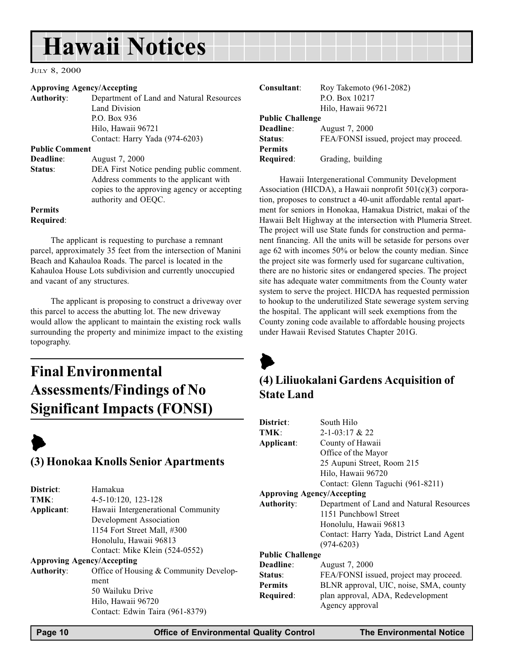## <span id="page-9-0"></span>Hawaii Notices

#### JULY 8, 2000

#### Approving Agency/Accepting

| <b>Authority:</b>     | Department of Land and Natural Resources    |
|-----------------------|---------------------------------------------|
|                       | Land Division                               |
|                       | P.O. Box 936                                |
|                       | Hilo, Hawaii 96721                          |
|                       | Contact: Harry Yada (974-6203)              |
| <b>Public Comment</b> |                                             |
| Deadline:             | August 7, 2000                              |
| Status:               | DEA First Notice pending public comment.    |
|                       | Address comments to the applicant with      |
|                       | copies to the approving agency or accepting |

Permits Required:

The applicant is requesting to purchase a remnant parcel, approximately 35 feet from the intersection of Manini Beach and Kahauloa Roads. The parcel is located in the Kahauloa House Lots subdivision and currently unoccupied and vacant of any structures.

authority and OEQC.

The applicant is proposing to construct a driveway over this parcel to access the abutting lot. The new driveway would allow the applicant to maintain the existing rock walls surrounding the property and minimize impact to the existing topography.

## Final Environmental Assessments/Findings of No Significant Impacts (FONSI)

## $\blacktriangleright$ (3) Honokaa Knolls Senior Apartments

| District:                         | Hamakua                                |
|-----------------------------------|----------------------------------------|
| TMK:                              | 4-5-10:120, 123-128                    |
| Applicant:                        | Hawaii Intergenerational Community     |
|                                   | Development Association                |
|                                   | 1154 Fort Street Mall, #300            |
|                                   | Honolulu, Hawaii 96813                 |
|                                   | Contact: Mike Klein (524-0552)         |
| <b>Approving Agency/Accepting</b> |                                        |
| <b>Authority:</b>                 | Office of Housing & Community Develop- |
|                                   | ment                                   |
|                                   | 50 Wailuku Drive                       |
|                                   | Hilo, Hawaii 96720                     |

Contact: Edwin Taira (961-8379)

| Consultant:             | Roy Takemoto (961-2082)<br>P.O. Box 10217<br>Hilo, Hawaii 96721 |
|-------------------------|-----------------------------------------------------------------|
| <b>Public Challenge</b> |                                                                 |
| Deadline:               | August 7, 2000                                                  |
| Status:                 | FEA/FONSI issued, project may proceed.                          |
| <b>Permits</b>          |                                                                 |
| Required:               | Grading, building                                               |

Hawaii Intergenerational Community Development Association (HICDA), a Hawaii nonprofit 501(c)(3) corporation, proposes to construct a 40-unit affordable rental apartment for seniors in Honokaa, Hamakua District, makai of the Hawaii Belt Highway at the intersection with Plumeria Street. The project will use State funds for construction and permanent financing. All the units will be setaside for persons over age 62 with incomes 50% or below the county median. Since the project site was formerly used for sugarcane cultivation, there are no historic sites or endangered species. The project site has adequate water commitments from the County water system to serve the project. HICDA has requested permission to hookup to the underutilized State sewerage system serving the hospital. The applicant will seek exemptions from the County zoning code available to affordable housing projects under Hawaii Revised Statutes Chapter 201G.



## (4) Liliuokalani Gardens Acquisition of State Land

| District:                         | South Hilo                               |
|-----------------------------------|------------------------------------------|
| TMK:                              | $2 - 1 - 03:17$ & 22                     |
| Applicant:                        | County of Hawaii                         |
|                                   | Office of the Mayor                      |
|                                   | 25 Aupuni Street, Room 215               |
|                                   | Hilo, Hawaii 96720                       |
|                                   | Contact: Glenn Taguchi (961-8211)        |
| <b>Approving Agency/Accepting</b> |                                          |
| <b>Authority:</b>                 | Department of Land and Natural Resources |
|                                   | 1151 Punchbowl Street                    |
|                                   | Honolulu, Hawaii 96813                   |
|                                   | Contact: Harry Yada, District Land Agent |
|                                   | $(974 - 6203)$                           |
| <b>Public Challenge</b>           |                                          |
| Deadline:                         | August 7, 2000                           |
| Status:                           | FEA/FONSI issued, project may proceed.   |
| <b>Permits</b>                    | BLNR approval, UIC, noise, SMA, county   |
| Required:                         | plan approval, ADA, Redevelopment        |
|                                   | Agency approval                          |
|                                   |                                          |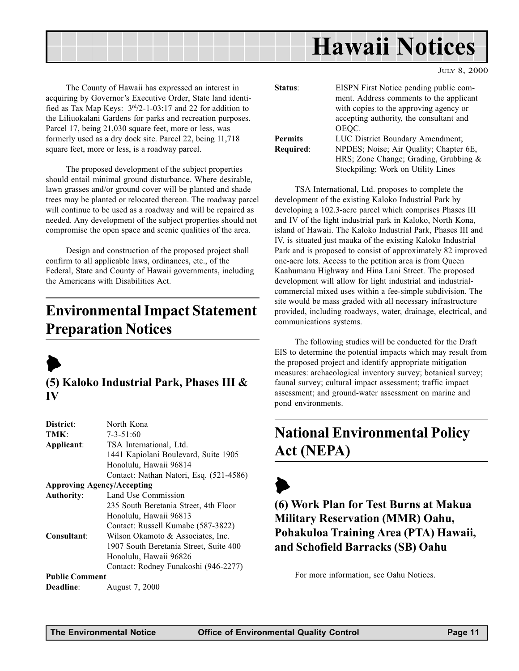<span id="page-10-0"></span>

JULY 8, 2000

The County of Hawaii has expressed an interest in acquiring by Governor's Executive Order, State land identified as Tax Map Keys:  $3<sup>rd</sup>/2-1-03:17$  and 22 for addition to the Liliuokalani Gardens for parks and recreation purposes. Parcel 17, being 21,030 square feet, more or less, was formerly used as a dry dock site. Parcel 22, being 11,718 square feet, more or less, is a roadway parcel.

The proposed development of the subject properties should entail minimal ground disturbance. Where desirable, lawn grasses and/or ground cover will be planted and shade trees may be planted or relocated thereon. The roadway parcel will continue to be used as a roadway and will be repaired as needed. Any development of the subject properties should not compromise the open space and scenic qualities of the area.

Design and construction of the proposed project shall confirm to all applicable laws, ordinances, etc., of the Federal, State and County of Hawaii governments, including the Americans with Disabilities Act.

## Environmental Impact Statement Preparation Notices



## (5) Kaloko Industrial Park, Phases III & IV

| District:             | North Kona                              |
|-----------------------|-----------------------------------------|
| TMK:                  | 7-3-51:60                               |
| Applicant:            | TSA International, Ltd.                 |
|                       | 1441 Kapiolani Boulevard, Suite 1905    |
|                       | Honolulu, Hawaii 96814                  |
|                       | Contact: Nathan Natori, Esq. (521-4586) |
|                       | <b>Approving Agency/Accepting</b>       |
| <b>Authority:</b>     | Land Use Commission                     |
|                       | 235 South Beretania Street, 4th Floor   |
|                       | Honolulu, Hawaii 96813                  |
|                       | Contact: Russell Kumabe (587-3822)      |
| Consultant:           | Wilson Okamoto & Associates, Inc.       |
|                       | 1907 South Beretania Street, Suite 400  |
|                       | Honolulu, Hawaii 96826                  |
|                       | Contact: Rodney Funakoshi (946-2277)    |
| <b>Public Comment</b> |                                         |
| <b>Deadline:</b>      | August 7, 2000                          |

| EISPN First Notice pending public com-<br>ment. Address comments to the applicant |
|-----------------------------------------------------------------------------------|
| with copies to the approving agency or                                            |
| accepting authority, the consultant and                                           |
| OEQC.                                                                             |
| LUC District Boundary Amendment;                                                  |
| NPDES; Noise; Air Quality; Chapter 6E,                                            |
| HRS; Zone Change; Grading, Grubbing $\&$                                          |
| Stockpiling; Work on Utility Lines                                                |
|                                                                                   |

TSA International, Ltd. proposes to complete the development of the existing Kaloko Industrial Park by developing a 102.3-acre parcel which comprises Phases III and IV of the light industrial park in Kaloko, North Kona, island of Hawaii. The Kaloko Industrial Park, Phases III and IV, is situated just mauka of the existing Kaloko Industrial Park and is proposed to consist of approximately 82 improved one-acre lots. Access to the petition area is from Queen Kaahumanu Highway and Hina Lani Street. The proposed development will allow for light industrial and industrialcommercial mixed uses within a fee-simple subdivision. The site would be mass graded with all necessary infrastructure provided, including roadways, water, drainage, electrical, and communications systems.

The following studies will be conducted for the Draft EIS to determine the potential impacts which may result from the proposed project and identify appropriate mitigation measures: archaeological inventory survey; botanical survey; faunal survey; cultural impact assessment; traffic impact assessment; and ground-water assessment on marine and pond environments.

## National Environmental Policy Act (NEPA)

 $\blacktriangleright$ (6) Work Plan for Test Burns at Makua Military Reservation (MMR) Oahu, Pohakuloa Training Area (PTA) Hawaii, and Schofield Barracks (SB) Oahu

For more information, see Oahu Notices.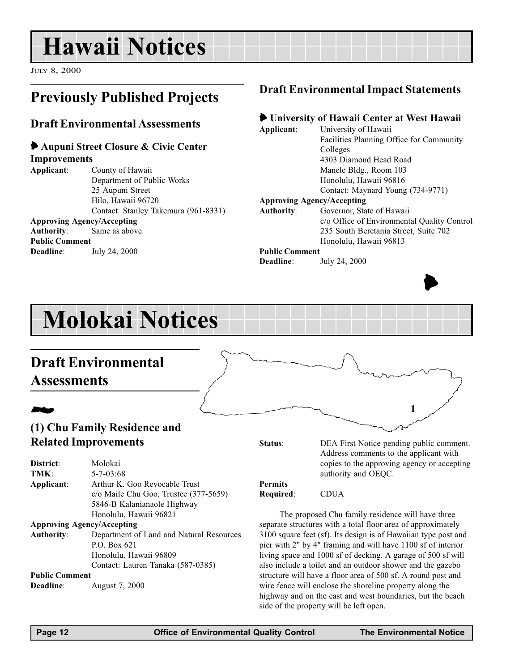## <span id="page-11-0"></span>Hawaii Notices

JULY 8, 2000

## Previously Published Projects

### Draft Environmental Assessments

#### 6 Aupuni Street Closure & Civic Center **Improvements**

| ****p************     |                                      |
|-----------------------|--------------------------------------|
| Applicant:            | County of Hawaii                     |
|                       | Department of Public Works           |
|                       | 25 Aupuni Street                     |
|                       | Hilo, Hawaii 96720                   |
|                       | Contact: Stanley Takemura (961-8331) |
|                       | <b>Approving Agency/Accepting</b>    |
|                       | <b>Authority:</b> Same as above.     |
| <b>Public Comment</b> |                                      |
| Deadline:             | July 24, 2000                        |
|                       |                                      |

## Draft Environmental Impact Statements

### 6 University of Hawaii Center at West Hawaii

Applicant: University of Hawaii Facilities Planning Office for Community Colleges 4303 Diamond Head Road Manele Bldg., Room 103 Honolulu, Hawaii 96816 Contact: Maynard Young (734-9771) Approving Agency/Accepting Authority: Governor, State of Hawaii c/o Office of Environmental Quality Control 235 South Beretania Street, Suite 702

#### Honolulu, Hawaii 96813 Public Comment

Deadline: July 24, 2000



## Molokai Notices

## Draft Environmental

## **Assessments**

## **24**

## (1) Chu Family Residence and Related Improvements

Status: DEA First Notice pending public comment. Address comments to the applicant with copies to the approving agency or accepting authority and OEQC.

1

| District:         | Molokai                                  |
|-------------------|------------------------------------------|
| TMK:              | $5 - 7 - 03:68$                          |
| Applicant:        | Arthur K. Goo Revocable Trust            |
|                   | c/o Maile Chu Goo, Trustee (377-5659)    |
|                   | 5846-B Kalanianaole Highway              |
|                   | Honolulu, Hawaii 96821                   |
|                   | <b>Approving Agency/Accepting</b>        |
| <b>Authority:</b> | Department of Land and Natural Resources |
|                   | P.O. Box 621                             |
|                   | Honolulu, Hawaii 96809                   |
|                   | Contact: Lauren Tanaka (587-0385)        |

Public Comment

Deadline: August 7, 2000

Permits Required: CDUA

The proposed Chu family residence will have three separate structures with a total floor area of approximately 3100 square feet (sf). Its design is of Hawaiian type post and pier with 2" by 4" framing and will have 1100 sf of interior living space and 1000 sf of decking. A garage of 500 sf will also include a toilet and an outdoor shower and the gazebo structure will have a floor area of 500 sf. A round post and wire fence will enclose the shoreline property along the highway and on the east and west boundaries, but the beach side of the property will be left open.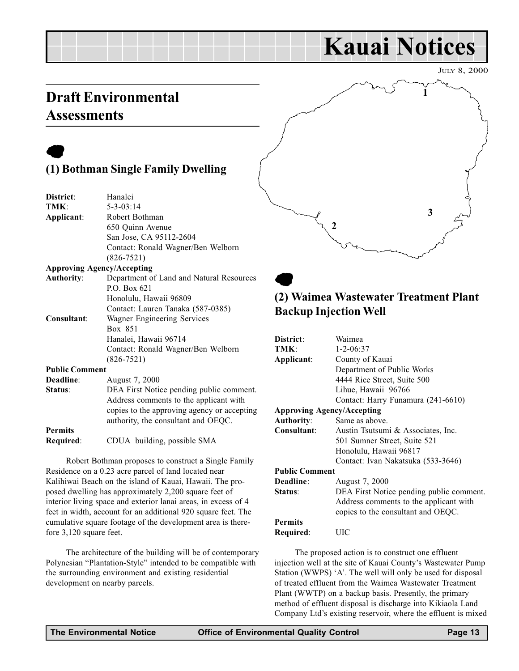## Kauai Notices

JULY 8, 2000

## <span id="page-12-0"></span>Draft Environmental **Assessments**

## $\bullet$

## (1) Bothman Single Family Dwelling

| District:             | Hanalei                                     |
|-----------------------|---------------------------------------------|
| TMK:                  | $5 - 3 - 03:14$                             |
| Applicant:            | Robert Bothman                              |
|                       | 650 Quinn Avenue                            |
|                       | San Jose, CA 95112-2604                     |
|                       | Contact: Ronald Wagner/Ben Welborn          |
|                       | $(826 - 7521)$                              |
|                       | <b>Approving Agency/Accepting</b>           |
| <b>Authority:</b>     | Department of Land and Natural Resources    |
|                       | P.O. Box 621                                |
|                       | Honolulu, Hawaii 96809                      |
|                       | Contact: Lauren Tanaka (587-0385)           |
| Consultant:           | Wagner Engineering Services                 |
|                       | Box 851                                     |
|                       | Hanalei, Hawaii 96714                       |
|                       | Contact: Ronald Wagner/Ben Welborn          |
|                       | $(826 - 7521)$                              |
| <b>Public Comment</b> |                                             |
| Deadline:             | August 7, 2000                              |
| Status:               | DEA First Notice pending public comment.    |
|                       | Address comments to the applicant with      |
|                       | copies to the approving agency or accepting |
|                       | authority, the consultant and OEQC.         |
| <b>Permits</b>        |                                             |

Required: CDUA building, possible SMA

Robert Bothman proposes to construct a Single Family Residence on a 0.23 acre parcel of land located near Kalihiwai Beach on the island of Kauai, Hawaii. The proposed dwelling has approximately 2,200 square feet of interior living space and exterior lanai areas, in excess of 4 feet in width, account for an additional 920 square feet. The cumulative square footage of the development area is therefore 3,120 square feet.

The architecture of the building will be of contemporary Polynesian "Plantation-Style" intended to be compatible with the surrounding environment and existing residential development on nearby parcels.



## $\bullet$ (2) Waimea Wastewater Treatment Plant Backup Injection Well

| District:                         | Waimea                                   |  |  |  |
|-----------------------------------|------------------------------------------|--|--|--|
| TMK:                              | $1 - 2 - 06:37$                          |  |  |  |
| Applicant:                        | County of Kauai                          |  |  |  |
|                                   | Department of Public Works               |  |  |  |
|                                   | 4444 Rice Street, Suite 500              |  |  |  |
|                                   | Lihue, Hawaii 96766                      |  |  |  |
|                                   | Contact: Harry Funamura (241-6610)       |  |  |  |
| <b>Approving Agency/Accepting</b> |                                          |  |  |  |
| <b>Authority:</b>                 | Same as above.                           |  |  |  |
| Consultant:                       | Austin Tsutsumi & Associates, Inc.       |  |  |  |
|                                   | 501 Sumner Street, Suite 521             |  |  |  |
|                                   | Honolulu, Hawaii 96817                   |  |  |  |
|                                   | Contact: Ivan Nakatsuka (533-3646)       |  |  |  |
| <b>Public Comment</b>             |                                          |  |  |  |
| Deadline:                         | August 7, 2000                           |  |  |  |
| Status:                           | DEA First Notice pending public comment. |  |  |  |
|                                   | Address comments to the applicant with   |  |  |  |
|                                   | copies to the consultant and OEQC.       |  |  |  |
| <b>Permits</b>                    |                                          |  |  |  |
| Required:                         | UІC                                      |  |  |  |
|                                   |                                          |  |  |  |

The proposed action is to construct one effluent injection well at the site of Kauai County's Wastewater Pump Station (WWPS) 'A'. The well will only be used for disposal of treated effluent from the Waimea Wastewater Treatment Plant (WWTP) on a backup basis. Presently, the primary method of effluent disposal is discharge into Kikiaola Land Company Ltd's existing reservoir, where the effluent is mixed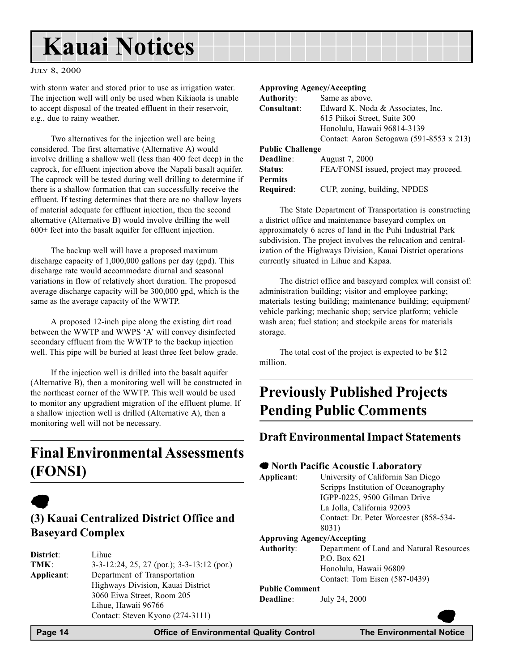## <span id="page-13-0"></span>Kauai Notices

#### JULY 8, 2000

with storm water and stored prior to use as irrigation water. The injection well will only be used when Kikiaola is unable to accept disposal of the treated effluent in their reservoir, e.g., due to rainy weather.

Two alternatives for the injection well are being considered. The first alternative (Alternative A) would involve drilling a shallow well (less than 400 feet deep) in the caprock, for effluent injection above the Napali basalt aquifer. The caprock will be tested during well drilling to determine if there is a shallow formation that can successfully receive the effluent. If testing determines that there are no shallow layers of material adequate for effluent injection, then the second alternative (Alternative B) would involve drilling the well  $600\pm$  feet into the basalt aquifer for effluent injection.

The backup well will have a proposed maximum discharge capacity of 1,000,000 gallons per day (gpd). This discharge rate would accommodate diurnal and seasonal variations in flow of relatively short duration. The proposed average discharge capacity will be 300,000 gpd, which is the same as the average capacity of the WWTP.

A proposed 12-inch pipe along the existing dirt road between the WWTP and WWPS 'A' will convey disinfected secondary effluent from the WWTP to the backup injection well. This pipe will be buried at least three feet below grade.

If the injection well is drilled into the basalt aquifer (Alternative B), then a monitoring well will be constructed in the northeast corner of the WWTP. This well would be used to monitor any upgradient migration of the effluent plume. If a shallow injection well is drilled (Alternative A), then a monitoring well will not be necessary.

## Final Environmental Assessments (FONSI)

## $\bullet$

## (3) Kauai Centralized District Office and Baseyard Complex

| District:  | Lihue                                                |
|------------|------------------------------------------------------|
| TMK:       | $3-3-12:24$ , $25$ , $27$ (por.); $3-3-13:12$ (por.) |
| Applicant: | Department of Transportation                         |
|            | Highways Division, Kauai District                    |
|            | 3060 Eiwa Street, Room 205                           |
|            | Lihue, Hawaii 96766                                  |
|            | Contact: Steven Kyono (274-3111)                     |

#### Approving Agency/Accepting

| <b>Authority:</b>       | Same as above.                           |
|-------------------------|------------------------------------------|
| Consultant:             | Edward K. Noda & Associates, Inc.        |
|                         | 615 Piikoi Street, Suite 300             |
|                         | Honolulu, Hawaii 96814-3139              |
|                         | Contact: Aaron Setogawa (591-8553 x 213) |
| <b>Public Challenge</b> |                                          |
| Deadline:               | August 7, 2000                           |
| Status:                 | FEA/FONSI issued, project may proceed.   |
| <b>Permits</b>          |                                          |
|                         |                                          |

Required: CUP, zoning, building, NPDES

The State Department of Transportation is constructing a district office and maintenance baseyard complex on approximately 6 acres of land in the Puhi Industrial Park subdivision. The project involves the relocation and centralization of the Highways Division, Kauai District operations currently situated in Lihue and Kapaa.

The district office and baseyard complex will consist of: administration building; visitor and employee parking; materials testing building; maintenance building; equipment/ vehicle parking; mechanic shop; service platform; vehicle wash area; fuel station; and stockpile areas for materials storage.

The total cost of the project is expected to be \$12 million.

## Previously Published Projects Pending Public Comments

### Draft Environmental Impact Statements

#### • North Pacific Acoustic Laboratory

Applicant: University of California San Diego Scripps Institution of Oceanography IGPP-0225, 9500 Gilman Drive La Jolla, California 92093 Contact: Dr. Peter Worcester (858-534- 8031)

#### Approving Agency/Accepting

Authority: Department of Land and Natural Resources P.O. Box 621 Honolulu, Hawaii 96809 Contact: Tom Eisen (587-0439)

#### Public Comment

Deadline: July 24, 2000

 $\bullet$ 

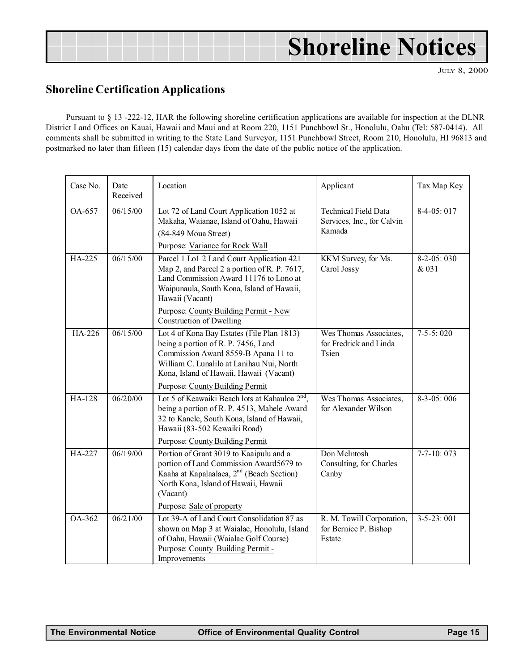## Shoreline Notices

JULY 8, 2000

## Shoreline Certification Applications

Pursuant to § 13 -222-12, HAR the following shoreline certification applications are available for inspection at the DLNR District Land Offices on Kauai, Hawaii and Maui and at Room 220, 1151 Punchbowl St., Honolulu, Oahu (Tel: 587-0414). All comments shall be submitted in writing to the State Land Surveyor, 1151 Punchbowl Street, Room 210, Honolulu, HI 96813 and postmarked no later than fifteen (15) calendar days from the date of the public notice of the application.

| Case No.      | Date<br>Received | Location                                                                                                                                                                                                                                                                        | Applicant                                                           | Tax Map Key           |
|---------------|------------------|---------------------------------------------------------------------------------------------------------------------------------------------------------------------------------------------------------------------------------------------------------------------------------|---------------------------------------------------------------------|-----------------------|
| $OA-657$      | 06/15/00         | Lot 72 of Land Court Application 1052 at<br>Makaha, Waianae, Island of Oahu, Hawaii<br>(84-849 Moua Street)<br>Purpose: Variance for Rock Wall                                                                                                                                  | <b>Technical Field Data</b><br>Services, Inc., for Calvin<br>Kamada | $8-4-05:017$          |
| HA-225        | 06/15/00         | Parcel 1 Lo1 2 Land Court Application 421<br>Map 2, and Parcel 2 a portion of R. P. 7617,<br>Land Commission Award 11176 to Lono at<br>Waipunaula, South Kona, Island of Hawaii,<br>Hawaii (Vacant)<br>Purpose: County Building Permit - New<br><b>Construction of Dwelling</b> | KKM Survey, for Ms.<br>Carol Jossy                                  | $8-2-05:030$<br>& 031 |
| HA-226        | 06/15/00         | Lot 4 of Kona Bay Estates (File Plan 1813)<br>being a portion of R. P. 7456, Land<br>Commission Award 8559-B Apana 11 to<br>William C. Lunalilo at Lanihau Nui, North<br>Kona, Island of Hawaii, Hawaii (Vacant)<br>Purpose: County Building Permit                             | Wes Thomas Associates,<br>for Fredrick and Linda<br>Tsien           | $7-5-5:020$           |
| HA-128        | 06/20/00         | Lot 5 of Keawaiki Beach lots at Kahauloa $2nd$ ,<br>being a portion of R. P. 4513, Mahele Award<br>32 to Kanele, South Kona, Island of Hawaii,<br>Hawaii (83-502 Kewaiki Road)<br>Purpose: County Building Permit                                                               | Wes Thomas Associates,<br>for Alexander Wilson                      | $8-3-05:006$          |
| <b>HA-227</b> | 06/19/00         | Portion of Grant 3019 to Kaaipulu and a<br>portion of Land Commission Award5679 to<br>Kaaha at Kapalaalaea, 2 <sup>nd</sup> (Beach Section)<br>North Kona, Island of Hawaii, Hawaii<br>(Vacant)<br>Purpose: Sale of property                                                    | Don McIntosh<br>Consulting, for Charles<br>Canby                    | $7 - 7 - 10:073$      |
| OA-362        | 06/21/00         | Lot 39-A of Land Court Consolidation 87 as<br>shown on Map 3 at Waialae, Honolulu, Island<br>of Oahu, Hawaii (Waialae Golf Course)<br>Purpose: County Building Permit -<br>Improvements                                                                                         | R. M. Towill Corporation,<br>for Bernice P. Bishop<br>Estate        | $3 - 5 - 23:001$      |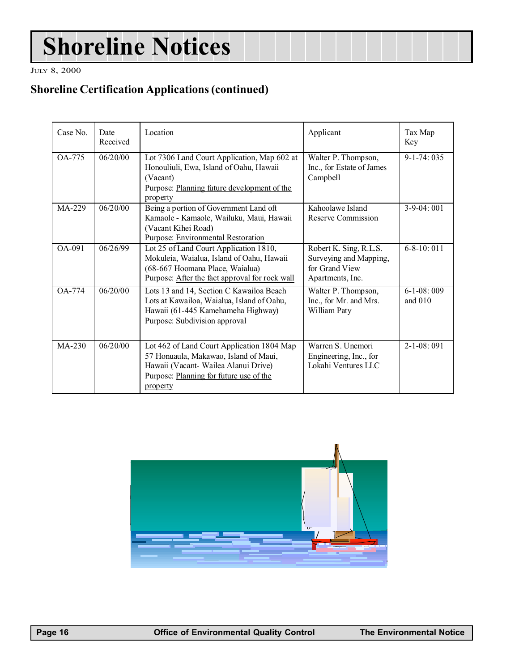## Shoreline Notices

JULY 8, 2000

## Shoreline Certification Applications (continued)

| Case No.   | Date<br>Received | Location                                                                                                                                                                           | Applicant                                                                              | Tax Map<br>Key          |
|------------|------------------|------------------------------------------------------------------------------------------------------------------------------------------------------------------------------------|----------------------------------------------------------------------------------------|-------------------------|
| OA-775     | 06/20/00         | Lot 7306 Land Court Application, Map 602 at<br>Honouliuli, Ewa, Island of Oahu, Hawaii<br>(Vacant)<br>Purpose: Planning future development of the<br>property                      | Walter P. Thompson,<br>Inc., for Estate of James<br>Campbell                           | $\overline{9-1-74:035}$ |
| MA-229     | 06/20/00         | Being a portion of Government Land oft<br>Kamaole - Kamaole, Wailuku, Maui, Hawaii<br>(Vacant Kihei Road)<br>Purpose: Environmental Restoration                                    | Kahoolawe Island<br>Reserve Commission                                                 | $3-9-04:001$            |
| OA-091     | 06/26/99         | Lot 25 of Land Court Application 1810,<br>Mokuleia, Waialua, Island of Oahu, Hawaii<br>(68-667 Hoomana Place, Waialua)<br>Purpose: After the fact approval for rock wall           | Robert K. Sing, R.L.S.<br>Surveying and Mapping,<br>for Grand View<br>Apartments, Inc. | $6 - 8 - 10$ ; 011      |
| $OA - 774$ | 06/20/00         | Lots 13 and 14, Section C Kawailoa Beach<br>Lots at Kawailoa, Waialua, Island of Oahu,<br>Hawaii (61-445 Kamehameha Highway)<br>Purpose: Subdivision approval                      | Walter P. Thompson,<br>Inc., for Mr. and Mrs.<br>William Paty                          |                         |
| $MA-230$   | 06/20/00         | Lot 462 of Land Court Application 1804 Map<br>57 Honuaula, Makawao, Island of Maui,<br>Hawaii (Vacant- Wailea Alanui Drive)<br>Purpose: Planning for future use of the<br>property | Warren S. Unemori<br>Engineering, Inc., for<br>Lokahi Ventures LLC                     | $2 - 1 - 08:091$        |

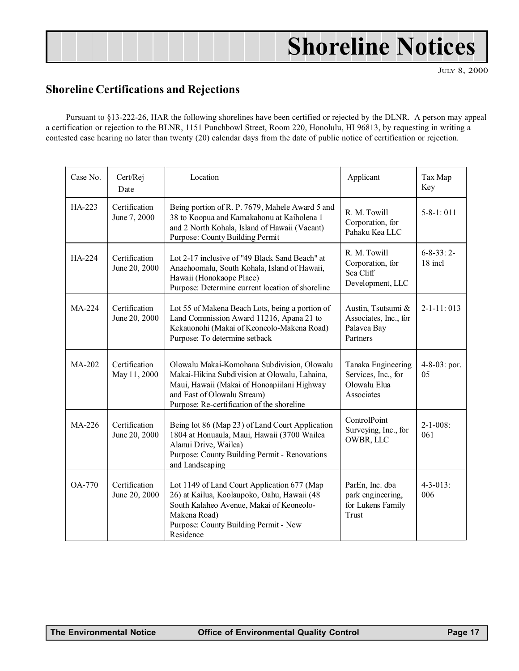## Shoreline Notices

JULY 8, 2000

## <span id="page-16-0"></span>Shoreline Certifications and Rejections

Pursuant to §13-222-26, HAR the following shorelines have been certified or rejected by the DLNR. A person may appeal a certification or rejection to the BLNR, 1151 Punchbowl Street, Room 220, Honolulu, HI 96813, by requesting in writing a contested case hearing no later than twenty (20) calendar days from the date of public notice of certification or rejection.

| Case No.      | Cert/Rej<br>Date               | Location                                                                                                                                                                                                                 | Applicant                                                                                      | Tax Map<br>Key         |
|---------------|--------------------------------|--------------------------------------------------------------------------------------------------------------------------------------------------------------------------------------------------------------------------|------------------------------------------------------------------------------------------------|------------------------|
| $HA-223$      | Certification<br>June 7, 2000  | Being portion of R. P. 7679, Mahele Award 5 and<br>38 to Koopua and Kamakahonu at Kaiholena 1<br>and 2 North Kohala, Island of Hawaii (Vacant)<br>Purpose: County Building Permit                                        | R. M. Towill<br>Corporation, for<br>Pahaku Kea LLC                                             | $5 - 8 - 1$ : 011      |
| HA-224        | Certification<br>June 20, 2000 | Lot 2-17 inclusive of "49 Black Sand Beach" at<br>Anaehoomalu, South Kohala, Island of Hawaii,<br>Hawaii (Honokaope Place)<br>Purpose: Determine current location of shoreline                                           | R. M. Towill<br>$6 - 8 - 33:2$<br>18 incl<br>Corporation, for<br>Sea Cliff<br>Development, LLC |                        |
| $MA-224$      | Certification<br>June 20, 2000 | Lot 55 of Makena Beach Lots, being a portion of<br>Land Commission Award 11216, Apana 21 to<br>Kekauonohi (Makai of Keoneolo-Makena Road)<br>Purpose: To determine setback                                               | Austin, Tsutsumi &<br>Associates, Inc., for<br>Palavea Bay<br>Partners                         | $2 - 1 - 11:013$       |
| MA-202        | Certification<br>May 11, 2000  | Olowalu Makai-Komohana Subdivision, Olowalu<br>Makai-Hikina Subdivision at Olowalu, Lahaina,<br>Maui, Hawaii (Makai of Honoapiilani Highway<br>and East of Olowalu Stream)<br>Purpose: Re-certification of the shoreline | Tanaka Engineering<br>Services, Inc., for<br>Olowalu Elua<br>Associates                        | 4-8-03: por.<br>05     |
| MA-226        | Certification<br>June 20, 2000 | Being lot 86 (Map 23) of Land Court Application<br>1804 at Honuaula, Maui, Hawaii (3700 Wailea<br>Alanui Drive, Wailea)<br>Purpose: County Building Permit - Renovations<br>and Landscaping                              | ControlPoint<br>Surveying, Inc., for<br>OWBR, LLC                                              | $2 - 1 - 008$ :<br>061 |
| <b>OA-770</b> | Certification<br>June 20, 2000 | Lot 1149 of Land Court Application 677 (Map<br>26) at Kailua, Koolaupoko, Oahu, Hawaii (48<br>South Kalaheo Avenue, Makai of Keoneolo-<br>Makena Road)<br>Purpose: County Building Permit - New<br>Residence             | ParEn, Inc. dba<br>park engineering,<br>for Lukens Family<br>Trust                             | $4 - 3 - 013$ :<br>006 |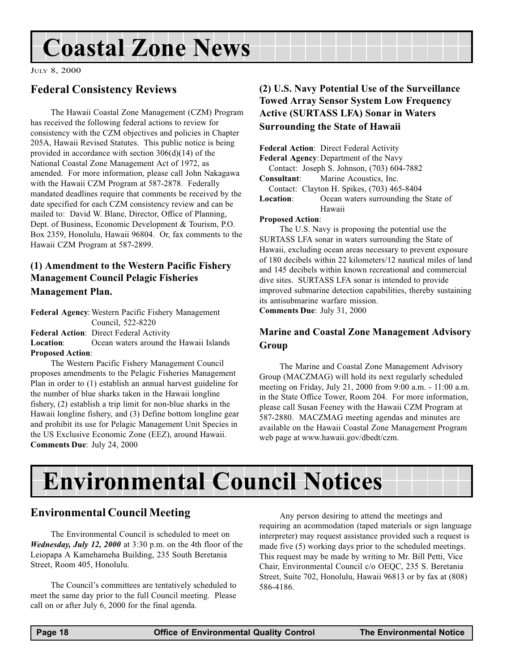## <span id="page-17-0"></span>Coastal Zone News

JULY 8, 2000

## Federal Consistency Reviews

The Hawaii Coastal Zone Management (CZM) Program has received the following federal actions to review for consistency with the CZM objectives and policies in Chapter 205A, Hawaii Revised Statutes. This public notice is being provided in accordance with section 306(d)(14) of the National Coastal Zone Management Act of 1972, as amended. For more information, please call John Nakagawa with the Hawaii CZM Program at 587-2878. Federally mandated deadlines require that comments be received by the date specified for each CZM consistency review and can be mailed to: David W. Blane, Director, Office of Planning, Dept. of Business, Economic Development & Tourism, P.O. Box 2359, Honolulu, Hawaii 96804. Or, fax comments to the Hawaii CZM Program at 587-2899.

### (1) Amendment to the Western Pacific Fishery Management Council Pelagic Fisheries Management Plan.

Federal Agency: Western Pacific Fishery Management Council, 522-8220 Federal Action: Direct Federal Activity Location: Ocean waters around the Hawaii Islands

Proposed Action:

The Western Pacific Fishery Management Council proposes amendments to the Pelagic Fisheries Management Plan in order to (1) establish an annual harvest guideline for the number of blue sharks taken in the Hawaii longline fishery, (2) establish a trip limit for non-blue sharks in the Hawaii longline fishery, and (3) Define bottom longline gear and prohibit its use for Pelagic Management Unit Species in the US Exclusive Economic Zone (EEZ), around Hawaii. Comments Due: July 24, 2000

## (2) U.S. Navy Potential Use of the Surveillance Towed Array Sensor System Low Frequency Active (SURTASS LFA) Sonar in Waters Surrounding the State of Hawaii

Federal Action: Direct Federal Activity Federal Agency: Department of the Navy Contact: Joseph S. Johnson, (703) 604-7882 Consultant: Marine Acoustics, Inc. Contact: Clayton H. Spikes, (703) 465-8404 Location: Ocean waters surrounding the State of Hawaii

#### Proposed Action:

The U.S. Navy is proposing the potential use the SURTASS LFA sonar in waters surrounding the State of Hawaii, excluding ocean areas necessary to prevent exposure of 180 decibels within 22 kilometers/12 nautical miles of land and 145 decibels within known recreational and commercial dive sites. SURTASS LFA sonar is intended to provide improved submarine detection capabilities, thereby sustaining its antisubmarine warfare mission.

Comments Due: July 31, 2000

### Marine and Coastal Zone Management Advisory Group

The Marine and Coastal Zone Management Advisory Group (MACZMAG) will hold its next regularly scheduled meeting on Friday, July 21, 2000 from 9:00 a.m. - 11:00 a.m. in the State Office Tower, Room 204. For more information, please call Susan Feeney with the Hawaii CZM Program at 587-2880. MACZMAG meeting agendas and minutes are available on the Hawaii Coastal Zone Management Program web page at www.hawaii.gov/dbedt/czm.

## Environmental Council Notices

## Environmental Council Meeting

The Environmental Council is scheduled to meet on Wednesday, July 12, 2000 at 3:30 p.m. on the 4th floor of the Leiopapa A Kamehameha Building, 235 South Beretania Street, Room 405, Honolulu.

The Council's committees are tentatively scheduled to meet the same day prior to the full Council meeting. Please call on or after July 6, 2000 for the final agenda.

Any person desiring to attend the meetings and requiring an acommodation (taped materials or sign language interpreter) may request assistance provided such a request is made five (5) working days prior to the scheduled meetings. This request may be made by writing to Mr. Bill Petti, Vice Chair, Environmental Council c/o OEQC, 235 S. Beretania Street, Suite 702, Honolulu, Hawaii 96813 or by fax at (808) 586-4186.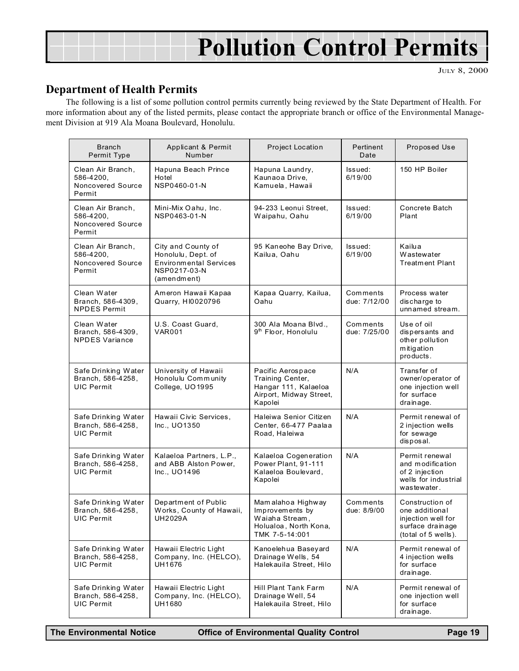## Pollution Control Permits

JULY 8, 2000

## Department of Health Permits

The following is a list of some pollution control permits currently being reviewed by the State Department of Health. For more information about any of the listed permits, please contact the appropriate branch or office of the Environmental Management Division at 919 Ala Moana Boulevard, Honolulu.

| <b>Branch</b><br>Permit Type                                  | Applicant & Permit<br>Number                                                                             | Project Location                                                                                    | Pertinent<br>Date        | Proposed Use                                                                                       |
|---------------------------------------------------------------|----------------------------------------------------------------------------------------------------------|-----------------------------------------------------------------------------------------------------|--------------------------|----------------------------------------------------------------------------------------------------|
| Clean Air Branch,<br>586-4200,<br>Noncovered Source<br>Permit | Hapuna Beach Prince<br>Hotel<br>NSP0460-01-N                                                             | Hapuna Laundry,<br>Kaunaoa Drive,<br>Kamuela, Hawaii                                                | Issued:<br>6/19/00       | 150 HP Boiler                                                                                      |
| Clean Air Branch,<br>586-4200,<br>Noncovered Source<br>Permit | Mini-Mix Oahu, Inc.<br>NSP0463-01-N                                                                      | 94-233 Leonui Street,<br>Waipahu, Oahu                                                              | Issued:<br>6/19/00       | Concrete Batch<br>Plant                                                                            |
| Clean Air Branch,<br>586-4200,<br>Noncovered Source<br>Permit | City and County of<br>Honolulu, Dept. of<br><b>Environmental Services</b><br>NSP0217-03-N<br>(amendment) | 95 Kaneohe Bay Drive,<br>Kailua, Oahu                                                               | Issued:<br>6/19/00       | Kailua<br>Wastewater<br><b>Treatment Plant</b>                                                     |
| Clean Water<br>Branch, 586-4309,<br><b>NPDES Permit</b>       | Ameron Hawaii Kapaa<br>Quarry, HI0020796                                                                 | Kapaa Quarry, Kailua,<br>Oahu                                                                       | Comments<br>due: 7/12/00 | Process water<br>discharge to<br>unnamed stream.                                                   |
| Clean Water<br>Branch, 586-4309,<br><b>NPDES Variance</b>     | U.S. Coast Guard,<br><b>VAR001</b>                                                                       | 300 Ala Moana Blvd.,<br>9 <sup>th</sup> Floor, Honolulu                                             | Comments<br>due: 7/25/00 | Use of oil<br>dispersants and<br>other pollution<br>mitigation<br>products.                        |
| Safe Drinking Water<br>Branch, 586-4258,<br><b>UIC Permit</b> | University of Hawaii<br>Honolulu Community<br>College, UO1995                                            | Pacific Aerospace<br>Training Center,<br>Hangar 111, Kalaeloa<br>Airport, Midway Street,<br>Kapolei | N/A                      | Transfer of<br>owner/operator of<br>one injection well<br>for surface<br>drainage.                 |
| Safe Drinking Water<br>Branch, 586-4258,<br>UIC Permit        | Hawaii Civic Services,<br>Inc., UO1350                                                                   | Haleiwa Senior Citizen<br>Center, 66-477 Paalaa<br>Road, Haleiwa                                    | N/A                      | Permit renewal of<br>2 injection wells<br>for sewage<br>disposal.                                  |
| Safe Drinking Water<br>Branch, 586-4258,<br><b>UIC Permit</b> | Kalaeloa Partners, L.P.,<br>and ABB Alston Power,<br>Inc., UO1496                                        | Kalaeloa Cogeneration<br>Power Plant, 91-111<br>Kalaeloa Boulevard,<br>Kapolei                      | N/A                      | Permit renewal<br>and modification<br>of 2 injection<br>wells for industrial<br>wastewater.        |
| Safe Drinking Water<br>Branch, 586-4258,<br><b>UIC Permit</b> | Department of Public<br>Works, County of Hawaii,<br>UH2029A                                              | Mamalahoa Highway<br>Improvements by<br>Waiaha Stream,<br>Holualoa, North Kona,<br>TMK 7-5-14:001   | Comments<br>due: 8/9/00  | Construction of<br>one additional<br>injection well for<br>surface drainage<br>(total of 5 wells). |
| Safe Drinking Water<br>Branch, 586-4258,<br><b>UIC Permit</b> | Hawaii Electric Light<br>Company, Inc. (HELCO),<br>UH1676                                                | Kanoelehua Baseyard<br>Drainage Wells, 54<br>Halekauila Street, Hilo                                | N/A                      | Permit renewal of<br>4 injection wells<br>for surface<br>drainage.                                 |
| Safe Drinking Water<br>Branch, 586-4258,<br><b>UIC Permit</b> | Hawaii Electric Light<br>Company, Inc. (HELCO),<br>UH1680                                                | Hill Plant Tank Farm<br>Drainage Well, 54<br>Halekauila Street, Hilo                                | N/A                      | Permit renewal of<br>one injection well<br>for surface<br>drainage.                                |

The Environmental Notice **Office of Environmental Quality Control** Page 19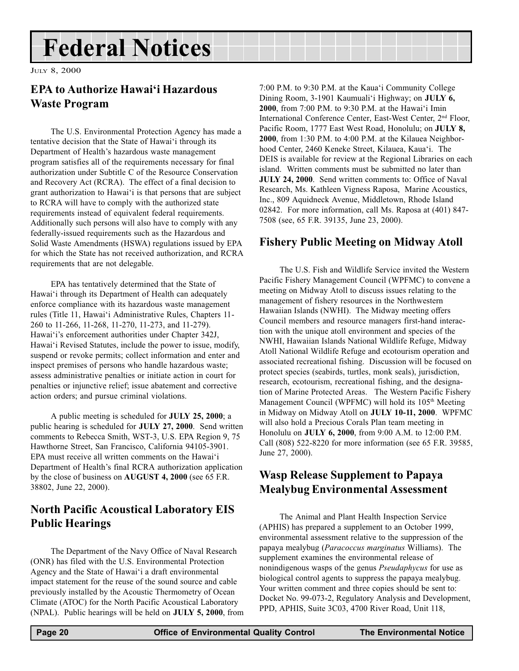## <span id="page-19-0"></span>Federal Notices

JULY 8, 2000

## EPA to Authorize Hawai'i Hazardous Waste Program

The U.S. Environmental Protection Agency has made a tentative decision that the State of Hawai'i through its Department of Health's hazardous waste management program satisfies all of the requirements necessary for final authorization under Subtitle C of the Resource Conservation and Recovery Act (RCRA). The effect of a final decision to grant authorization to Hawai'i is that persons that are subject to RCRA will have to comply with the authorized state requirements instead of equivalent federal requirements. Additionally such persons will also have to comply with any federally-issued requirements such as the Hazardous and Solid Waste Amendments (HSWA) regulations issued by EPA for which the State has not received authorization, and RCRA requirements that are not delegable.

EPA has tentatively determined that the State of Hawai'i through its Department of Health can adequately enforce compliance with its hazardous waste management rules (Title 11, Hawai'i Administrative Rules, Chapters 11-260 to 11-266, 11-268, 11-270, 11-273, and 11-279). Hawai'i's enforcement authorities under Chapter 342J, Hawai'i Revised Statutes, include the power to issue, modify, suspend or revoke permits; collect information and enter and inspect premises of persons who handle hazardous waste; assess administrative penalties or initiate action in court for penalties or injunctive relief; issue abatement and corrective action orders; and pursue criminal violations.

A public meeting is scheduled for JULY 25, 2000; a public hearing is scheduled for JULY 27, 2000. Send written comments to Rebecca Smith, WST-3, U.S. EPA Region 9, 75 Hawthorne Street, San Francisco, California 94105-3901. EPA must receive all written comments on the Hawai'i Department of Health's final RCRA authorization application by the close of business on AUGUST 4, 2000 (see 65 F.R. 38802, June 22, 2000).

## North Pacific Acoustical Laboratory EIS Public Hearings

The Department of the Navy Office of Naval Research (ONR) has filed with the U.S. Environmental Protection Agency and the State of Hawai'i a draft environmental impact statement for the reuse of the sound source and cable previously installed by the Acoustic Thermometry of Ocean Climate (ATOC) for the North Pacific Acoustical Laboratory (NPAL). Public hearings will be held on JULY 5, 2000, from 7:00 P.M. to 9:30 P.M. at the Kaua'i Community College Dining Room, 3-1901 Kaumuali'i Highway; on JULY 6, 2000, from 7:00 P.M. to 9:30 P.M. at the Hawai'i Imin International Conference Center, East-West Center, 2nd Floor, Pacific Room, 1777 East West Road, Honolulu; on JULY 8, 2000, from 1:30 P.M. to 4:00 P.M. at the Kilauea Neighborhood Center, 2460 Keneke Street, Kilauea, Kaua'i. The DEIS is available for review at the Regional Libraries on each island. Written comments must be submitted no later than JULY 24, 2000. Send written comments to: Office of Naval Research, Ms. Kathleen Vigness Raposa, Marine Acoustics, Inc., 809 Aquidneck Avenue, Middletown, Rhode Island 02842. For more information, call Ms. Raposa at (401) 847- 7508 (see, 65 F.R. 39135, June 23, 2000).

## Fishery Public Meeting on Midway Atoll

The U.S. Fish and Wildlife Service invited the Western Pacific Fishery Management Council (WPFMC) to convene a meeting on Midway Atoll to discuss issues relating to the management of fishery resources in the Northwestern Hawaiian Islands (NWHI). The Midway meeting offers Council members and resource managers first-hand interaction with the unique atoll environment and species of the NWHI, Hawaiian Islands National Wildlife Refuge, Midway Atoll National Wildlife Refuge and ecotourism operation and associated recreational fishing. Discussion will be focused on protect species (seabirds, turtles, monk seals), jurisdiction, research, ecotourism, recreational fishing, and the designation of Marine Protected Areas. The Western Pacific Fishery Management Council (WPFMC) will hold its 105<sup>th</sup> Meeting in Midway on Midway Atoll on JULY 10-11, 2000. WPFMC will also hold a Precious Corals Plan team meeting in Honolulu on JULY 6, 2000, from 9:00 A.M. to 12:00 P.M. Call (808) 522-8220 for more information (see 65 F.R. 39585, June 27, 2000).

## Wasp Release Supplement to Papaya Mealybug Environmental Assessment

The Animal and Plant Health Inspection Service (APHIS) has prepared a supplement to an October 1999, environmental assessment relative to the suppression of the papaya mealybug (Paracoccus marginatus Williams). The supplement examines the environmental release of nonindigenous wasps of the genus Pseudaphycus for use as biological control agents to suppress the papaya mealybug. Your written comment and three copies should be sent to: Docket No. 99-073-2, Regulatory Analysis and Development, PPD, APHIS, Suite 3C03, 4700 River Road, Unit 118,